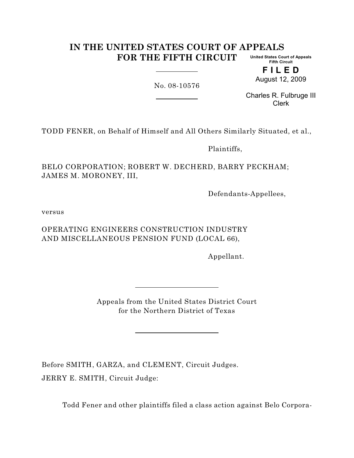#### **IN THE UNITED STATES COURT OF APPEALS FOR THE FIFTH CIRCUIT United States Court of Appeals Fifth Circuit**

**F I L E D** August 12, 2009

No. 08-10576

Charles R. Fulbruge III Clerk

TODD FENER, on Behalf of Himself and All Others Similarly Situated, et al.,

Plaintiffs,

BELO CORPORATION; ROBERT W. DECHERD, BARRY PECKHAM; JAMES M. MORONEY, III,

Defendants-Appellees,

versus

OPERATING ENGINEERS CONSTRUCTION INDUSTRY AND MISCELLANEOUS PENSION FUND (LOCAL 66),

Appellant.

Appeals from the United States District Court for the Northern District of Texas

Before SMITH, GARZA, and CLEMENT, Circuit Judges. JERRY E. SMITH, Circuit Judge:

Todd Fener and other plaintiffs filed a class action against Belo Corpora-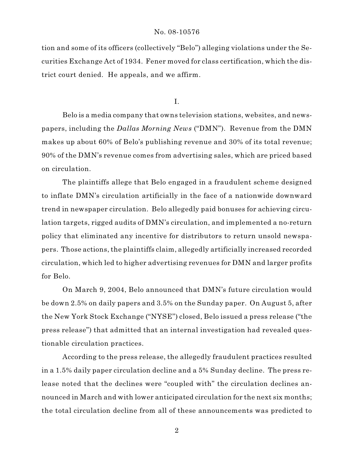tion and some of its officers (collectively "Belo") alleging violations under the Securities Exchange Act of 1934. Fener moved for class certification, which the district court denied. He appeals, and we affirm.

I.

Belo is a media company that owns television stations, websites, and newspapers, including the *Dallas Morning News* ("DMN"). Revenue from the DMN makes up about 60% of Belo's publishing revenue and 30% of its total revenue; 90% of the DMN's revenue comes from advertising sales, which are priced based on circulation.

The plaintiffs allege that Belo engaged in a fraudulent scheme designed to inflate DMN's circulation artificially in the face of a nationwide downward trend in newspaper circulation. Belo allegedly paid bonuses for achieving circulation targets, rigged audits of DMN's circulation, and implemented a no-return policy that eliminated any incentive for distributors to return unsold newspapers. Those actions, the plaintiffs claim, allegedly artificially increased recorded circulation, which led to higher advertising revenues for DMN and larger profits for Belo.

On March 9, 2004, Belo announced that DMN's future circulation would be down 2.5% on daily papers and 3.5% on the Sunday paper. On August 5, after the New York Stock Exchange ("NYSE") closed, Belo issued a press release ("the press release") that admitted that an internal investigation had revealed questionable circulation practices.

According to the press release, the allegedly fraudulent practices resulted in a 1.5% daily paper circulation decline and a 5% Sunday decline. The press release noted that the declines were "coupled with" the circulation declines announced in March and with lower anticipated circulation for the next six months; the total circulation decline from all of these announcements was predicted to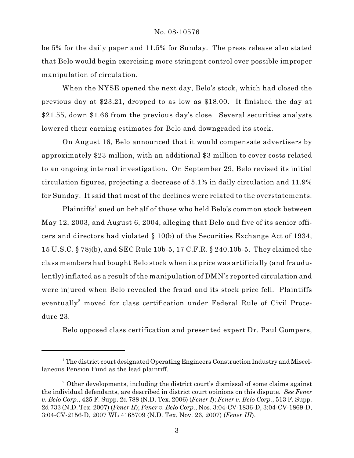be 5% for the daily paper and 11.5% for Sunday. The press release also stated that Belo would begin exercising more stringent control over possible improper manipulation of circulation.

When the NYSE opened the next day, Belo's stock, which had closed the previous day at \$23.21, dropped to as low as \$18.00. It finished the day at \$21.55, down \$1.66 from the previous day's close. Several securities analysts lowered their earning estimates for Belo and downgraded its stock.

On August 16, Belo announced that it would compensate advertisers by approximately \$23 million, with an additional \$3 million to cover costs related to an ongoing internal investigation. On September 29, Belo revised its initial circulation figures, projecting a decrease of 5.1% in daily circulation and 11.9% for Sunday. It said that most of the declines were related to the overstatements.

Plaintiffs<sup>1</sup> sued on behalf of those who held Belo's common stock between May 12, 2003, and August 6, 2004, alleging that Belo and five of its senior officers and directors had violated § 10(b) of the Securities Exchange Act of 1934, 15 U.S.C. § 78j(b), and SEC Rule 10b-5, 17 C.F.R. § 240.10b-5. They claimed the class members had bought Belo stock when its price was artificially (and fraudulently) inflated as a result of the manipulation of DMN's reported circulation and were injured when Belo revealed the fraud and its stock price fell. Plaintiffs eventually<sup>2</sup> moved for class certification under Federal Rule of Civil Procedure 23.

Belo opposed class certification and presented expert Dr. Paul Gompers,

<sup>&</sup>lt;sup>1</sup> The district court designated Operating Engineers Construction Industry and Miscellaneous Pension Fund as the lead plaintiff.

<sup>&</sup>lt;sup>2</sup> Other developments, including the district court's dismissal of some claims against the individual defendants, are described in district court opinions on this dispute. *See Fener v. Belo Corp.*, 425 F. Supp. 2d 788 (N.D. Tex. 2006) (*Fener I*); *Fener v. Belo Corp.*, 513 F. Supp. 2d 733 (N.D. Tex. 2007) (*Fener II*); *Fener v. Belo Corp.*, Nos. 3:04-CV-1836-D, 3:04-CV-1869-D, 3:04-CV-2156-D, 2007 WL 4165709 (N.D. Tex. Nov. 26, 2007) (*Fener III*).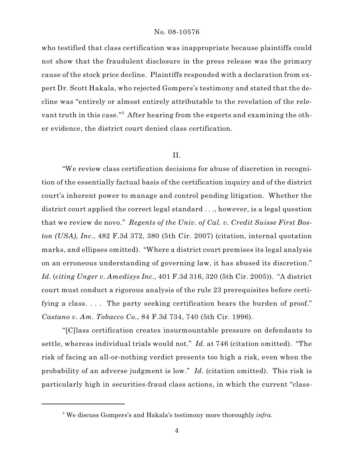who testified that class certification was inappropriate because plaintiffs could not show that the fraudulent disclosure in the press release was the primary cause of the stock price decline. Plaintiffs responded with a declaration from expert Dr. Scott Hakala, who rejected Gompers's testimony and stated that the decline was "entirely or almost entirely attributable to the revelation of the relevant truth in this case."<sup>3</sup> After hearing from the experts and examining the other evidence, the district court denied class certification.

# II.

"We review class certification decisions for abuse of discretion in recognition of the essentially factual basis of the certification inquiry and of the district court's inherent power to manage and control pending litigation. Whether the district court applied the correct legal standard . . ., however, is a legal question that we review de novo." *Regents of the Univ. of Cal. v. Credit Suisse First Boston (USA), Inc.*, 482 F.3d 372, 380 (5th Cir. 2007) (citation, internal quotation marks, and ellipses omitted). "Where a district court premises its legal analysis on an erroneous understanding of governing law, it has abused its discretion." *Id.* (*citing Unger v. Amedisys Inc.*, 401 F.3d 316, 320 (5th Cir. 2005)). "A district court must conduct a rigorous analysis of the rule 23 prerequisites before certifying a class.... The party seeking certification bears the burden of proof." *Castano v. Am. Tobacco Co.*, 84 F.3d 734, 740 (5th Cir. 1996).

"[C]lass certification creates insurmountable pressure on defendants to settle, whereas individual trials would not." *Id.* at 746 (citation omitted). "The risk of facing an all-or-nothing verdict presents too high a risk, even when the probability of an adverse judgment is low." *Id.* (citation omitted). This risk is particularly high in securities-fraud class actions, in which the current "class-

<sup>&</sup>lt;sup>3</sup> We discuss Gompers's and Hakala's testimony more thoroughly *infra*.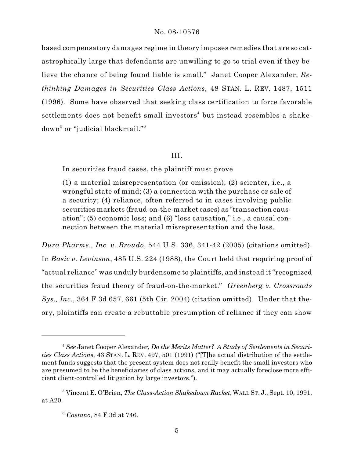based compensatory damages regime in theory imposes remedies that are so catastrophically large that defendants are unwilling to go to trial even if they believe the chance of being found liable is small." Janet Cooper Alexander, *Rethinking Damages in Securities Class Actions*, 48 STAN. L. REV. 1487, 1511 (1996). Some have observed that seeking class certification to force favorable settlements does not benefit small investors<sup>4</sup> but instead resembles a shakedown<sup>5</sup> or "judicial blackmail."<sup>6</sup>

# III.

In securities fraud cases, the plaintiff must prove

(1) a material misrepresentation (or omission); (2) scienter, i.e., a wrongful state of mind; (3) a connection with the purchase or sale of a security; (4) reliance, often referred to in cases involving public securities markets (fraud-on-the-market cases) as "transaction causation"; (5) economic loss; and (6) "loss causation," i.e., a causal connection between the material misrepresentation and the loss.

*Dura Pharms., Inc. v. Broudo*, 544 U.S. 336, 341-42 (2005) (citations omitted). In *Basic v. Levinson*, 485 U.S. 224 (1988), the Court held that requiring proof of "actual reliance" was unduly burdensome to plaintiffs, and instead it "recognized the securities fraud theory of fraud-on-the-market." *Greenberg v. Crossroads Sys., Inc.*, 364 F.3d 657, 661 (5th Cir. 2004) (citation omitted). Under that theory, plaintiffs can create a rebuttable presumption of reliance if they can show

*See* Janet Cooper Alexander, *Do the Merits Matter? A Study of Settlements in Securi-*4 *ties Class Actions*, 43 STAN. L. REV. 497, 501 (1991) ("[T]he actual distribution of the settlement funds suggests that the present system does not really benefit the small investors who are presumed to be the beneficiaries of class actions, and it may actually foreclose more efficient client-controlled litigation by large investors.").

<sup>&</sup>lt;sup>5</sup> Vincent E. O'Brien, *The Class-Action Shakedown Racket*, WALL ST. J., Sept. 10, 1991, at A20.

*Castano*, 84 F.3d at 746. <sup>6</sup>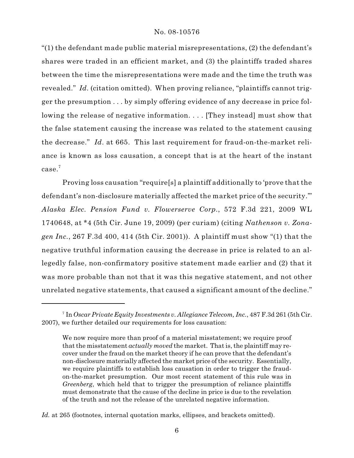"(1) the defendant made public material misrepresentations, (2) the defendant's shares were traded in an efficient market, and (3) the plaintiffs traded shares between the time the misrepresentations were made and the time the truth was revealed." *Id.* (citation omitted). When proving reliance, "plaintiffs cannot trigger the presumption . . . by simply offering evidence of any decrease in price following the release of negative information. . . . [They instead] must show that the false statement causing the increase was related to the statement causing the decrease." *Id*. at 665. This last requirement for fraud-on-the-market reliance is known as loss causation, a concept that is at the heart of the instant case.<sup>7</sup>

Proving loss causation "require[s] a plaintiff additionally to 'prove that the defendant's non-disclosure materially affected the market price of the security.'" *Alaska Elec. Pension Fund v. Flowerserve Corp.*, 572 F.3d 221, 2009 WL 1740648, at \*4 (5th Cir. June 19, 2009) (per curiam) (citing *Nathenson v. Zonagen Inc.*, 267 F.3d 400, 414 (5th Cir. 2001)). A plaintiff must show "(1) that the negative truthful information causing the decrease in price is related to an allegedly false, non-confirmatory positive statement made earlier and (2) that it was more probable than not that it was this negative statement, and not other unrelated negative statements, that caused a significant amount of the decline."

<sup>&</sup>lt;sup>7</sup> In *Oscar Private Equity Investments v. Allegiance Telecom, Inc.*, 487 F.3d 261 (5th Cir. 2007), we further detailed our requirements for loss causation:

We now require more than proof of a material misstatement; we require proof that the misstatement *actually moved* the market. That is, the plaintiff may recover under the fraud on the market theory if he can prove that the defendant's non-disclosure materially affected the market price of the security. Essentially, we require plaintiffs to establish loss causation in order to trigger the fraudon-the-market presumption. Our most recent statement of this rule was in *Greenberg*, which held that to trigger the presumption of reliance plaintiffs must demonstrate that the cause of the decline in price is due to the revelation of the truth and not the release of the unrelated negative information.

*Id.* at 265 (footnotes, internal quotation marks, ellipses, and brackets omitted).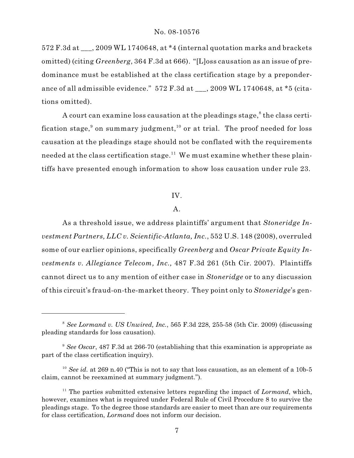572 F.3d at  $\cdot$ , 2009 WL 1740648, at \*4 (internal quotation marks and brackets omitted) (citing *Greenberg*, 364 F.3d at 666). "[L]oss causation as an issue of predominance must be established at the class certification stage by a preponderance of all admissible evidence." 572 F.3d at \_\_\_, 2009 WL 1740648, at \*5 (citations omitted).

A court can examine loss causation at the pleadings stage, $\delta$  the class certification stage,<sup>9</sup> on summary judgment,<sup>10</sup> or at trial. The proof needed for loss causation at the pleadings stage should not be conflated with the requirements needed at the class certification stage.<sup>11</sup> We must examine whether these plaintiffs have presented enough information to show loss causation under rule 23.

## IV.

## A.

As a threshold issue, we address plaintiffs' argument that *Stoneridge Investment Partners, LLC v. Scientific-Atlanta, Inc.*, 552 U.S. 148 (2008), overruled some of our earlier opinions, specifically *Greenberg* and *Oscar Private Equity Investments v. Allegiance Telecom, Inc.,* 487 F.3d 261 (5th Cir. 2007). Plaintiffs cannot direct us to any mention of either case in *Stoneridge* or to any discussion of this circuit's fraud-on-the-market theory. They point only to *Stoneridge*'s gen-

*See Lormand v. US Unwired, Inc.*, 565 F.3d 228, 255-58 (5th Cir. 2009) (discussing <sup>8</sup> pleading standards for loss causation).

<sup>&</sup>lt;sup>9</sup> See Oscar, 487 F.3d at 266-70 (establishing that this examination is appropriate as part of the class certification inquiry).

<sup>&</sup>lt;sup>10</sup> See id. at 269 n.40 ("This is not to say that loss causation, as an element of a 10b-5 claim, cannot be reexamined at summary judgment.").

 $11$ <sup>11</sup> The parties submitted extensive letters regarding the impact of *Lormand*, which, however, examines what is required under Federal Rule of Civil Procedure 8 to survive the pleadings stage. To the degree those standards are easier to meet than are our requirements for class certification, *Lormand* does not inform our decision.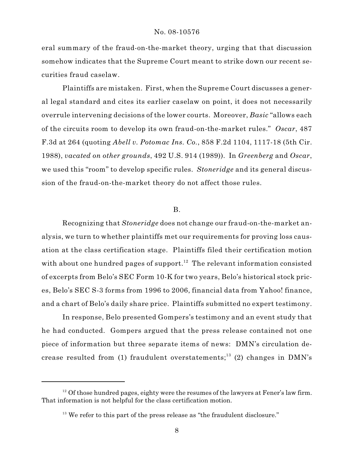eral summary of the fraud-on-the-market theory, urging that that discussion somehow indicates that the Supreme Court meant to strike down our recent securities fraud caselaw.

Plaintiffs are mistaken. First, when the Supreme Court discusses a general legal standard and cites its earlier caselaw on point, it does not necessarily overrule intervening decisions of the lower courts. Moreover, *Basic* "allows each of the circuits room to develop its own fraud-on-the-market rules." *Oscar*, 487 F.3d at 264 (quoting *Abell v. Potomac Ins. Co.*, 858 F.2d 1104, 1117-18 (5th Cir. 1988), *vacated on other grounds*, 492 U.S. 914 (1989)). In *Greenberg* and *Oscar*, we used this "room" to develop specific rules. *Stoneridge* and its general discussion of the fraud-on-the-market theory do not affect those rules.

# B.

Recognizing that *Stoneridge* does not change our fraud-on-the-market analysis, we turn to whether plaintiffs met our requirements for proving loss causation at the class certification stage. Plaintiffs filed their certification motion with about one hundred pages of support.<sup>12</sup> The relevant information consisted of excerpts from Belo's SEC Form 10-K for two years, Belo's historical stock prices, Belo's SEC S-3 forms from 1996 to 2006, financial data from Yahoo! finance, and a chart of Belo's daily share price. Plaintiffs submitted no expert testimony.

In response, Belo presented Gompers's testimony and an event study that he had conducted. Gompers argued that the press release contained not one piece of information but three separate items of news: DMN's circulation decrease resulted from (1) fraudulent overstatements;<sup>13</sup> (2) changes in DMN's

 $12$  Of those hundred pages, eighty were the resumes of the lawyers at Fener's law firm. That information is not helpful for the class certification motion.

 $13$  We refer to this part of the press release as "the fraudulent disclosure."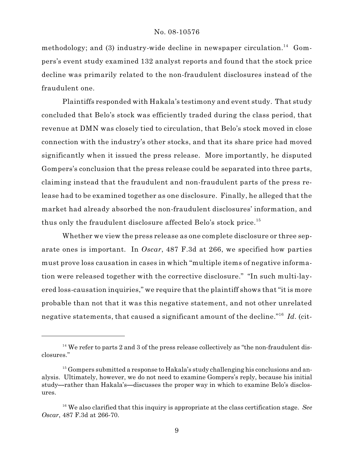methodology; and (3) industry-wide decline in newspaper circulation.<sup>14</sup> Gompers's event study examined 132 analyst reports and found that the stock price decline was primarily related to the non-fraudulent disclosures instead of the fraudulent one.

Plaintiffs responded with Hakala's testimony and event study. That study concluded that Belo's stock was efficiently traded during the class period, that revenue at DMN was closely tied to circulation, that Belo's stock moved in close connection with the industry's other stocks, and that its share price had moved significantly when it issued the press release. More importantly, he disputed Gompers's conclusion that the press release could be separated into three parts, claiming instead that the fraudulent and non-fraudulent parts of the press release had to be examined together as one disclosure. Finally, he alleged that the market had already absorbed the non-fraudulent disclosures' information, and thus only the fraudulent disclosure affected Belo's stock price.<sup>15</sup>

Whether we view the press release as one complete disclosure or three separate ones is important. In *Oscar*, 487 F.3d at 266, we specified how parties must prove loss causation in cases in which "multiple items of negative information were released together with the corrective disclosure." "In such multi-layered loss-causation inquiries," we require that the plaintiff shows that "it is more probable than not that it was this negative statement, and not other unrelated negative statements, that caused a significant amount of the decline."<sup>16</sup> Id. (cit-

 $14$  We refer to parts 2 and 3 of the press release collectively as "the non-fraudulent disclosures."

 $15$  Gompers submitted a response to Hakala's study challenging his conclusions and analysis. Ultimately, however, we do not need to examine Gompers's reply, because his initial study—rather than Hakala's—discusses the proper way in which to examine Belo's disclosures.

<sup>&</sup>lt;sup>16</sup> We also clarified that this inquiry is appropriate at the class certification stage. See *Oscar*, 487 F.3d at 266-70.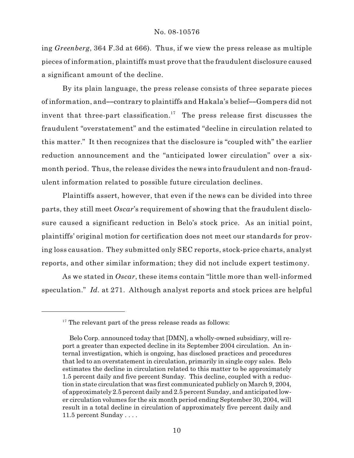ing *Greenberg*, 364 F.3d at 666). Thus, if we view the press release as multiple pieces of information, plaintiffs must prove that the fraudulent disclosure caused a significant amount of the decline.

By its plain language, the press release consists of three separate pieces of information, and--contrary to plaintiffs and Hakala's belief--Gompers did not invent that three-part classification.<sup>17</sup> The press release first discusses the fraudulent "overstatement" and the estimated "decline in circulation related to this matter." It then recognizes that the disclosure is "coupled with" the earlier reduction announcement and the "anticipated lower circulation" over a sixmonth period. Thus, the release divides the news into fraudulent and non-fraudulent information related to possible future circulation declines.

Plaintiffs assert, however, that even if the news can be divided into three parts, they still meet *Oscar*'s requirement of showing that the fraudulent disclosure caused a significant reduction in Belo's stock price. As an initial point, plaintiffs' original motion for certification does not meet our standards for proving loss causation. They submitted only SEC reports, stock-price charts, analyst reports, and other similar information; they did not include expert testimony.

As we stated in *Oscar*, these items contain "little more than well-informed speculation." *Id.* at 271. Although analyst reports and stock prices are helpful

 $17$ <sup>17</sup> The relevant part of the press release reads as follows:

Belo Corp. announced today that [DMN], a wholly-owned subsidiary, will report a greater than expected decline in its September 2004 circulation. An internal investigation, which is ongoing, has disclosed practices and procedures that led to an overstatement in circulation, primarily in single copy sales. Belo estimates the decline in circulation related to this matter to be approximately 1.5 percent daily and five percent Sunday. This decline, coupled with a reduction in state circulation that was first communicated publicly on March 9, 2004, of approximately 2.5 percent daily and 2.5 percent Sunday, and anticipated lower circulation volumes for the six month period ending September 30, 2004, will result in a total decline in circulation of approximately five percent daily and 11.5 percent Sunday . . . .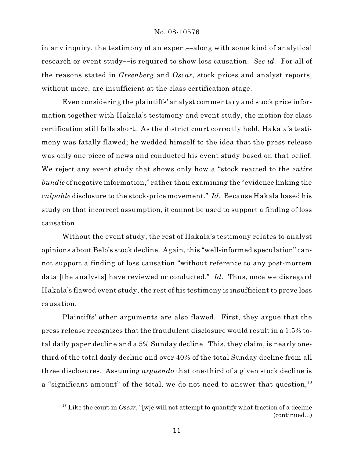in any inquiry, the testimony of an expert—along with some kind of analytical research or event study--is required to show loss causation. *See id.* For all of the reasons stated in *Greenberg* and *Oscar*, stock prices and analyst reports, without more, are insufficient at the class certification stage.

Even considering the plaintiffs' analyst commentary and stock price information together with Hakala's testimony and event study, the motion for class certification still falls short. As the district court correctly held, Hakala's testimony was fatally flawed; he wedded himself to the idea that the press release was only one piece of news and conducted his event study based on that belief. We reject any event study that shows only how a "stock reacted to the *entire bundle* of negative information," rather than examining the "evidence linking the *culpable* disclosure to the stock-price movement." *Id.* Because Hakala based his study on that incorrect assumption, it cannot be used to support a finding of loss causation.

Without the event study, the rest of Hakala's testimony relates to analyst opinions about Belo's stock decline. Again, this "well-informed speculation" cannot support a finding of loss causation "without reference to any post-mortem data [the analysts] have reviewed or conducted." *Id.* Thus, once we disregard Hakala's flawed event study, the rest of his testimony is insufficient to prove loss causation.

Plaintiffs' other arguments are also flawed. First, they argue that the press release recognizes that the fraudulent disclosure would result in a 1.5% total daily paper decline and a 5% Sunday decline. This, they claim, is nearly onethird of the total daily decline and over 40% of the total Sunday decline from all three disclosures. Assuming *arguendo* that one-third of a given stock decline is a "significant amount" of the total, we do not need to answer that question,<sup>18</sup>

 $18$  Like the court in *Oscar*, "[w]e will not attempt to quantify what fraction of a decline (continued...)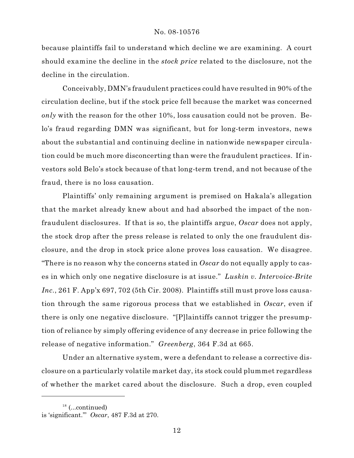because plaintiffs fail to understand which decline we are examining. A court should examine the decline in the *stock price* related to the disclosure, not the decline in the circulation.

Conceivably, DMN's fraudulent practices could have resulted in 90% of the circulation decline, but if the stock price fell because the market was concerned *only* with the reason for the other 10%, loss causation could not be proven. Belo's fraud regarding DMN was significant, but for long-term investors, news about the substantial and continuing decline in nationwide newspaper circulation could be much more disconcerting than were the fraudulent practices. If investors sold Belo's stock because of that long-term trend, and not because of the fraud, there is no loss causation.

Plaintiffs' only remaining argument is premised on Hakala's allegation that the market already knew about and had absorbed the impact of the nonfraudulent disclosures. If that is so, the plaintiffs argue, *Oscar* does not apply, the stock drop after the press release is related to only the one fraudulent disclosure, and the drop in stock price alone proves loss causation. We disagree. "There is no reason why the concerns stated in *Oscar* do not equally apply to cases in which only one negative disclosure is at issue." *Luskin v. Intervoice-Brite Inc.*, 261 F. App'x 697, 702 (5th Cir. 2008). Plaintiffs still must prove loss causation through the same rigorous process that we established in *Oscar*, even if there is only one negative disclosure. "[P]laintiffs cannot trigger the presumption of reliance by simply offering evidence of any decrease in price following the release of negative information." *Greenberg*, 364 F.3d at 665.

Under an alternative system, were a defendant to release a corrective disclosure on a particularly volatile market day, its stock could plummet regardless of whether the market cared about the disclosure. Such a drop, even coupled

 $18$  (...continued)

is 'significant.'" *Oscar*, 487 F.3d at 270.